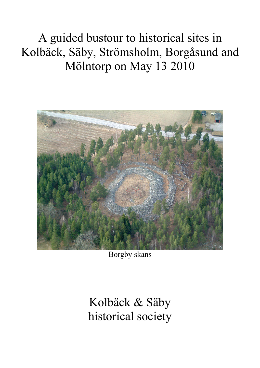A guided bustour to historical sites in Kolbäck, Säby, Strömsholm, Borgåsund and Mölntorp on May 13 2010



Borgby skans

Kolbäck & Säby historical society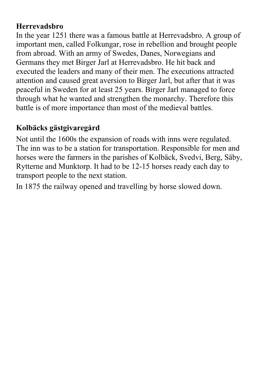### **Herrevadsbro**

In the year 1251 there was a famous battle at Herrevadsbro. A group of important men, called Folkungar, rose in rebellion and brought people from abroad. With an army of Swedes, Danes, Norwegians and Germans they met Birger Jarl at Herrevadsbro. He hit back and executed the leaders and many of their men. The executions attracted attention and caused great aversion to Birger Jarl, but after that it was peaceful in Sweden for at least 25 years. Birger Jarl managed to force through what he wanted and strengthen the monarchy. Therefore this battle is of more importance than most of the medieval battles.

# **Kolbäcks gästgivaregård**

Not until the 1600s the expansion of roads with inns were regulated. The inn was to be a station for transportation. Responsible for men and horses were the farmers in the parishes of Kolbäck, Svedvi, Berg, Säby, Rytterne and Munktorp. It had to be 12-15 horses ready each day to transport people to the next station.

In 1875 the railway opened and travelling by horse slowed down.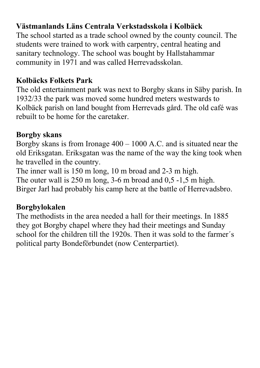## **Västmanlands Läns Centrala Verkstadsskola i Kolbäck**

The school started as a trade school owned by the county council. The students were trained to work with carpentry, central heating and sanitary technology. The school was bought by Hallstahammar community in 1971 and was called Herrevadsskolan.

### **Kolbäcks Folkets Park**

The old entertainment park was next to Borgby skans in Säby parish. In 1932/33 the park was moved some hundred meters westwards to Kolbäck parish on land bought from Herrevads gård. The old café was rebuilt to be home for the caretaker.

### **Borgby skans**

Borgby skans is from Ironage 400 – 1000 A.C. and is situated near the old Eriksgatan. Eriksgatan was the name of the way the king took when he travelled in the country.

The inner wall is 150 m long, 10 m broad and 2-3 m high.

The outer wall is 250 m long, 3-6 m broad and 0,5 -1,5 m high.

Birger Jarl had probably his camp here at the battle of Herrevadsbro.

### **Borgbylokalen**

The methodists in the area needed a hall for their meetings. In 1885 they got Borgby chapel where they had their meetings and Sunday school for the children till the 1920s. Then it was sold to the farmer´s political party Bondeförbundet (now Centerpartiet).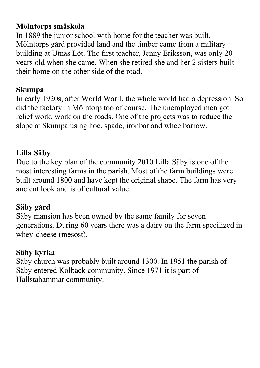### **Mölntorps småskola**

In 1889 the junior school with home for the teacher was built. Mölntorps gård provided land and the timber came from a military building at Utnäs Löt. The first teacher, Jenny Eriksson, was only 20 years old when she came. When she retired she and her 2 sisters built their home on the other side of the road.

## **Skumpa**

In early 1920s, after World War I, the whole world had a depression. So did the factory in Mölntorp too of course. The unemployed men got relief work, work on the roads. One of the projects was to reduce the slope at Skumpa using hoe, spade, ironbar and wheelbarrow.

## **Lilla Säby**

Due to the key plan of the community 2010 Lilla Säby is one of the most interesting farms in the parish. Most of the farm buildings were built around 1800 and have kept the original shape. The farm has very ancient look and is of cultural value.

## **Säby gård**

Säby mansion has been owned by the same family for seven generations. During 60 years there was a dairy on the farm specilized in whey-cheese (mesost).

## **Säby kyrka**

Säby church was probably built around 1300. In 1951 the parish of Säby entered Kolbäck community. Since 1971 it is part of Hallstahammar community.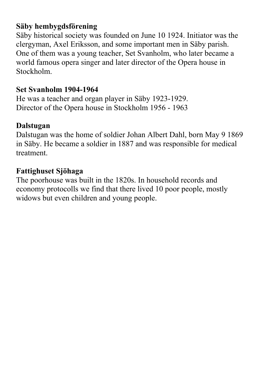### **Säby hembygdsförening**

Säby historical society was founded on June 10 1924. Initiator was the clergyman, Axel Eriksson, and some important men in Säby parish. One of them was a young teacher, Set Svanholm, who later became a world famous opera singer and later director of the Opera house in Stockholm.

## **Set Svanholm 1904-1964**

He was a teacher and organ player in Säby 1923-1929. Director of the Opera house in Stockholm 1956 - 1963

## **Dalstugan**

Dalstugan was the home of soldier Johan Albert Dahl, born May 9 1869 in Säby. He became a soldier in 1887 and was responsible for medical treatment.

## **Fattighuset Sjöhaga**

The poorhouse was built in the 1820s. In household records and economy protocolls we find that there lived 10 poor people, mostly widows but even children and young people.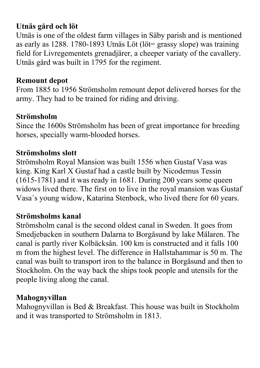## **Utnäs gård och löt**

Utnäs is one of the oldest farm villages in Säby parish and is mentioned as early as 1288. 1780-1893 Utnäs Löt (löt= grassy slope) was training field for Livregementets grenadjärer, a cheeper variaty of the cavallery. Utnäs gård was built in 1795 for the regiment.

#### **Remount depot**

From 1885 to 1956 Strömsholm remount depot delivered horses for the army. They had to be trained for riding and driving.

### **Strömsholm**

Since the 1600s Strömsholm has been of great importance for breeding horses, specially warm-blooded horses.

## **Strömsholms slott**

Strömsholm Royal Mansion was built 1556 when Gustaf Vasa was king. King Karl X Gustaf had a castle built by Nicodemus Tessin (1615-1781) and it was ready in 1681. During 200 years some queen widows lived there. The first on to live in the royal mansion was Gustaf Vasa´s young widow, Katarina Stenbock, who lived there for 60 years.

### **Strömsholms kanal**

Strömsholm canal is the second oldest canal in Sweden. It goes from Smedjebacken in southern Dalarna to Borgåsund by lake Mälaren. The canal is partly river Kolbäcksån. 100 km is constructed and it falls 100 m from the highest level. The difference in Hallstahammar is 50 m. The canal was built to transport iron to the balance in Borgåsund and then to Stockholm. On the way back the ships took people and utensils for the people living along the canal.

### **Mahognyvillan**

Mahognyvillan is Bed & Breakfast. This house was built in Stockholm and it was transported to Strömsholm in 1813.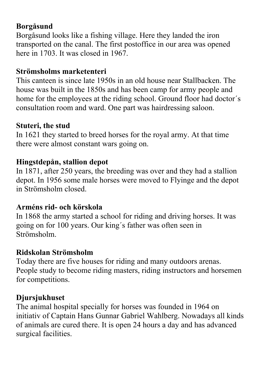### **Borgåsund**

Borgåsund looks like a fishing village. Here they landed the iron transported on the canal. The first postoffice in our area was opened here in 1703. It was closed in 1967.

#### **Strömsholms marketenteri**

This canteen is since late 1950s in an old house near Stallbacken. The house was built in the 1850s and has been camp for army people and home for the employees at the riding school. Ground floor had doctor´s consultation room and ward. One part was hairdressing saloon.

#### **Stuteri, the stud**

In 1621 they started to breed horses for the royal army. At that time there were almost constant wars going on.

### **Hingstdepån, stallion depot**

In 1871, after 250 years, the breeding was over and they had a stallion depot. In 1956 some male horses were moved to Flyinge and the depot in Strömsholm closed.

#### **Arméns rid- och körskola**

In 1868 the army started a school for riding and driving horses. It was going on for 100 years. Our king´s father was often seen in Strömsholm.

### **Ridskolan Strömsholm**

Today there are five houses for riding and many outdoors arenas. People study to become riding masters, riding instructors and horsemen for competitions.

### **Djursjukhuset**

The animal hospital specially for horses was founded in 1964 on initiativ of Captain Hans Gunnar Gabriel Wahlberg. Nowadays all kinds of animals are cured there. It is open 24 hours a day and has advanced surgical facilities.